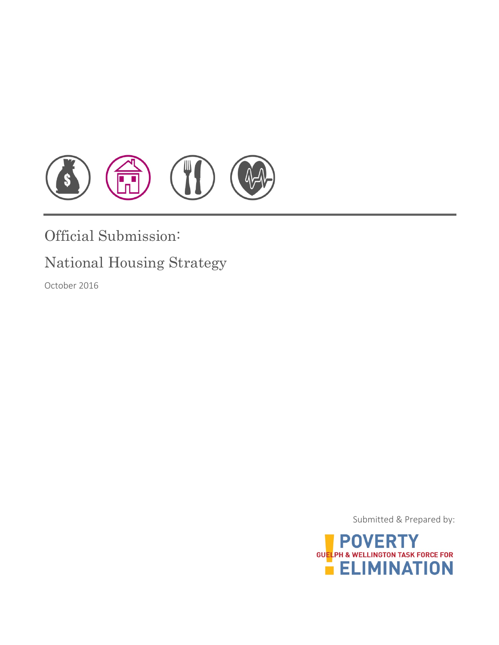

# Official Submission:

# National Housing Strategy

October 2016

Submitted & Prepared by:

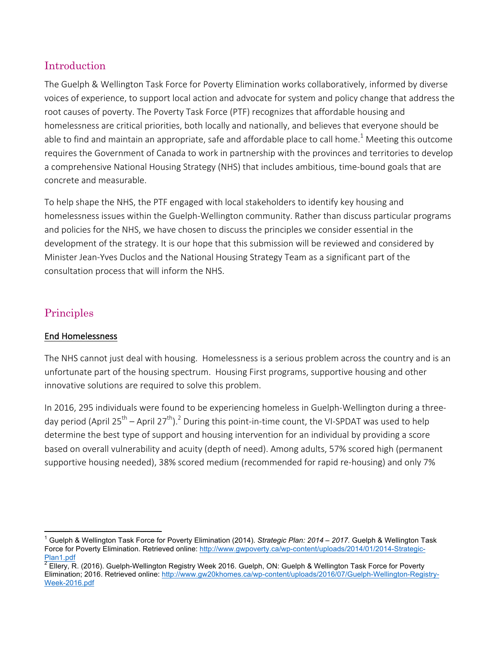# Introduction

The Guelph & Wellington Task Force for Poverty Elimination works collaboratively, informed by diverse voices of experience, to support local action and advocate for system and policy change that address the root causes of poverty. The Poverty Task Force (PTF) recognizes that affordable housing and homelessness are critical priorities, both locally and nationally, and believes that everyone should be able to find and maintain an appropriate, safe and affordable place to call home.<sup>1</sup> Meeting this outcome requires the Government of Canada to work in partnership with the provinces and territories to develop a comprehensive National Housing Strategy (NHS) that includes ambitious, time-bound goals that are concrete and measurable.

To help shape the NHS, the PTF engaged with local stakeholders to identify key housing and homelessness issues within the Guelph-Wellington community. Rather than discuss particular programs and policies for the NHS, we have chosen to discuss the principles we consider essential in the development of the strategy. It is our hope that this submission will be reviewed and considered by Minister Jean-Yves Duclos and the National Housing Strategy Team as a significant part of the consultation process that will inform the NHS.

# Principles

# End Homelessness

The NHS cannot just deal with housing. Homelessness is a serious problem across the country and is an unfortunate part of the housing spectrum. Housing First programs, supportive housing and other innovative solutions are required to solve this problem.

In 2016, 295 individuals were found to be experiencing homeless in Guelph-Wellington during a threeday period (April 25<sup>th</sup> – April 27<sup>th</sup>).<sup>2</sup> During this point-in-time count, the VI-SPDAT was used to help determine the best type of support and housing intervention for an individual by providing a score based on overall vulnerability and acuity (depth of need). Among adults, 57% scored high (permanent supportive housing needed), 38% scored medium (recommended for rapid re-housing) and only 7%

 <sup>1</sup> Guelph & Wellington Task Force for Poverty Elimination (2014). *Strategic Plan: 2014 – 2017.* Guelph & Wellington Task Force for Poverty Elimination. Retrieved online: http://www.gwpoverty.ca/wp-content/uploads/2014/01/2014-Strategic-Plan1.pdf

<sup>2</sup> Ellery, R. (2016). Guelph-Wellington Registry Week 2016. Guelph, ON: Guelph & Wellington Task Force for Poverty Elimination; 2016. Retrieved online: http://www.gw20khomes.ca/wp-content/uploads/2016/07/Guelph-Wellington-Registry-Week-2016.pdf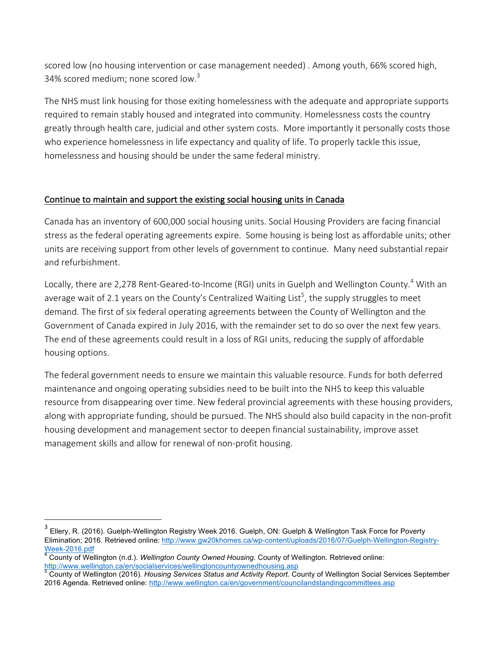scored low (no housing intervention or case management needed) . Among youth, 66% scored high, 34% scored medium; none scored low. $3$ 

The NHS must link housing for those exiting homelessness with the adequate and appropriate supports required to remain stably housed and integrated into community. Homelessness costs the country greatly through health care, judicial and other system costs. More importantly it personally costs those who experience homelessness in life expectancy and quality of life. To properly tackle this issue, homelessness and housing should be under the same federal ministry.

### Continue to maintain and support the existing social housing units in Canada

Canada has an inventory of 600,000 social housing units. Social Housing Providers are facing financial stress as the federal operating agreements expire. Some housing is being lost as affordable units; other units are receiving support from other levels of government to continue. Many need substantial repair and refurbishment.

Locally, there are 2,278 Rent-Geared-to-Income (RGI) units in Guelph and Wellington County.<sup>4</sup> With an average wait of 2.1 years on the County's Centralized Waiting List<sup>5</sup>, the supply struggles to meet demand. The first of six federal operating agreements between the County of Wellington and the Government of Canada expired in July 2016, with the remainder set to do so over the next few years. The end of these agreements could result in a loss of RGI units, reducing the supply of affordable housing options.

The federal government needs to ensure we maintain this valuable resource. Funds for both deferred maintenance and ongoing operating subsidies need to be built into the NHS to keep this valuable resource from disappearing over time. New federal provincial agreements with these housing providers, along with appropriate funding, should be pursued. The NHS should also build capacity in the non-profit housing development and management sector to deepen financial sustainability, improve asset management skills and allow for renewal of non-profit housing.

 

<sup>&</sup>lt;sup>3</sup> Ellery, R. (2016). Guelph-Wellington Registry Week 2016. Guelph, ON: Guelph & Wellington Task Force for Poverty Elimination; 2016. Retrieved online: http://www.gw20khomes.ca/wp-content/uploads/2016/07/Guelph-Wellington-Registry-Week-2016.pdf<br><sup>4</sup> County of Wellington (n.d.). *Wellington County Owned Housing.* County of Wellington. Retrieved online:

http://www.wellington.ca/en/socialservices/wellingtoncountyownedhousing.asp<br>5 County of Mallington.ca/en/socialservices/wellingtoncountyownedhousing.asp

<sup>5</sup> County of Wellington (2016). *Housing Services Status and Activity Report.* County of Wellington Social Services September 2016 Agenda. Retrieved online: http://www.wellington.ca/en/government/councilandstandingcommittees.asp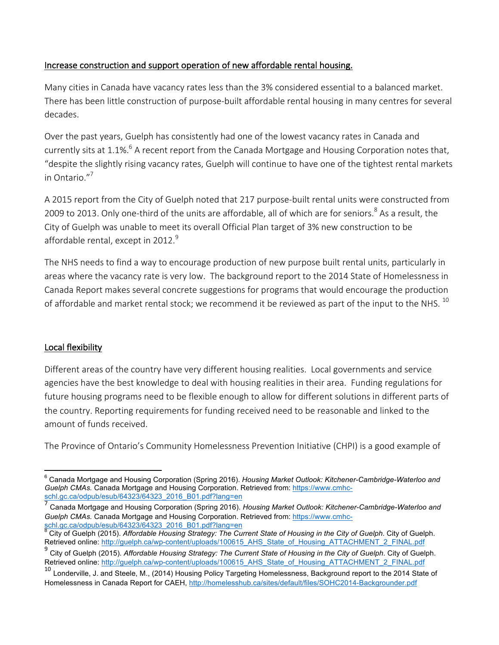# Increase construction and support operation of new affordable rental housing.

Many cities in Canada have vacancy rates less than the 3% considered essential to a balanced market. There has been little construction of purpose-built affordable rental housing in many centres for several decades. 

Over the past years, Guelph has consistently had one of the lowest vacancy rates in Canada and currently sits at 1.1%.<sup>6</sup> A recent report from the Canada Mortgage and Housing Corporation notes that, "despite the slightly rising vacancy rates, Guelph will continue to have one of the tightest rental markets in Ontario."<sup>7</sup>

A 2015 report from the City of Guelph noted that 217 purpose-built rental units were constructed from 2009 to 2013. Only one-third of the units are affordable, all of which are for seniors.<sup>8</sup> As a result, the City of Guelph was unable to meet its overall Official Plan target of 3% new construction to be affordable rental, except in 2012. $9$ 

The NHS needs to find a way to encourage production of new purpose built rental units, particularly in areas where the vacancy rate is very low. The background report to the 2014 State of Homelessness in Canada Report makes several concrete suggestions for programs that would encourage the production of affordable and market rental stock; we recommend it be reviewed as part of the input to the NHS.  $^{10}$ 

# Local flexibility

Different areas of the country have very different housing realities. Local governments and service agencies have the best knowledge to deal with housing realities in their area. Funding regulations for future housing programs need to be flexible enough to allow for different solutions in different parts of the country. Reporting requirements for funding received need to be reasonable and linked to the amount of funds received

The Province of Ontario's Community Homelessness Prevention Initiative (CHPI) is a good example of

 <sup>6</sup> Canada Mortgage and Housing Corporation (Spring 2016). *Housing Market Outlook: Kitchener-Cambridge-Waterloo and Guelph CMAs.* Canada Mortgage and Housing Corporation. Retrieved from: https://www.cmhcschl.gc.ca/odpub/esub/64323/64323\_2016\_B01.pdf?lang=en

<sup>7</sup> Canada Mortgage and Housing Corporation (Spring 2016). *Housing Market Outlook: Kitchener-Cambridge-Waterloo and Guelph CMAs.* Canada Mortgage and Housing Corporation. Retrieved from: https://www.cmhcschl.gc.ca/odpub/esub/64323/64323\_2016\_B01.pdf?lang=en

City of Guelph (2015). Affordable Housing Strategy: The Current State of Housing in the City of Guelph. City of Guelph. Retrieved online: http://guelph.ca/wp-content/uploads/100615\_AHS\_State\_of\_Housing\_ATTACHMENT\_2\_FINAL.pdf

<sup>9</sup> City of Guelph (2015). *Affordable Housing Strategy: The Current State of Housing in the City of Guelph*. City of Guelph. Retrieved online: http://guelph.ca/wp-content/uploads/100615\_AHS\_State\_of\_Housing\_ATTACHMENT\_2\_FINAL.pdf

<sup>&</sup>lt;sup>10</sup> Londerville, J. and Steele, M., (2014) Housing Policy Targeting Homelessness, Background report to the 2014 State of Homelessness in Canada Report for CAEH, http://homelesshub.ca/sites/default/files/SOHC2014-Backgrounder.pdf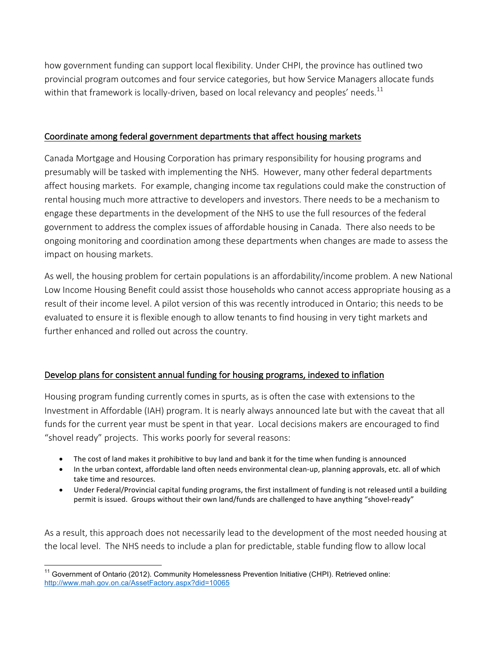how government funding can support local flexibility. Under CHPI, the province has outlined two provincial program outcomes and four service categories, but how Service Managers allocate funds within that framework is locally-driven, based on local relevancy and peoples' needs.<sup>11</sup>

#### Coordinate among federal government departments that affect housing markets

Canada Mortgage and Housing Corporation has primary responsibility for housing programs and presumably will be tasked with implementing the NHS. However, many other federal departments affect housing markets. For example, changing income tax regulations could make the construction of rental housing much more attractive to developers and investors. There needs to be a mechanism to engage these departments in the development of the NHS to use the full resources of the federal government to address the complex issues of affordable housing in Canada. There also needs to be ongoing monitoring and coordination among these departments when changes are made to assess the impact on housing markets.

As well, the housing problem for certain populations is an affordability/income problem. A new National Low Income Housing Benefit could assist those households who cannot access appropriate housing as a result of their income level. A pilot version of this was recently introduced in Ontario; this needs to be evaluated to ensure it is flexible enough to allow tenants to find housing in very tight markets and further enhanced and rolled out across the country.

#### Develop plans for consistent annual funding for housing programs, indexed to inflation

Housing program funding currently comes in spurts, as is often the case with extensions to the Investment in Affordable (IAH) program. It is nearly always announced late but with the caveat that all funds for the current year must be spent in that year. Local decisions makers are encouraged to find "shovel ready" projects. This works poorly for several reasons:

- The cost of land makes it prohibitive to buy land and bank it for the time when funding is announced
- In the urban context, affordable land often needs environmental clean-up, planning approvals, etc. all of which take time and resources.
- Under Federal/Provincial capital funding programs, the first installment of funding is not released until a building permit is issued. Groups without their own land/funds are challenged to have anything "shovel-ready"

As a result, this approach does not necessarily lead to the development of the most needed housing at the local level. The NHS needs to include a plan for predictable, stable funding flow to allow local

<sup>&</sup>lt;sup>11</sup> Government of Ontario (2012). Community Homelessness Prevention Initiative (CHPI). Retrieved online: http://www.mah.gov.on.ca/AssetFactory.aspx?did=10065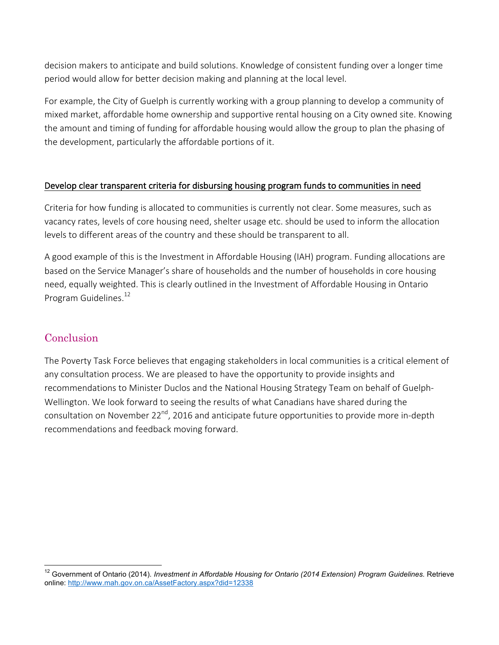decision makers to anticipate and build solutions. Knowledge of consistent funding over a longer time period would allow for better decision making and planning at the local level.

For example, the City of Guelph is currently working with a group planning to develop a community of mixed market, affordable home ownership and supportive rental housing on a City owned site. Knowing the amount and timing of funding for affordable housing would allow the group to plan the phasing of the development, particularly the affordable portions of it.

#### Develop clear transparent criteria for disbursing housing program funds to communities in need

Criteria for how funding is allocated to communities is currently not clear. Some measures, such as vacancy rates, levels of core housing need, shelter usage etc. should be used to inform the allocation levels to different areas of the country and these should be transparent to all.

A good example of this is the Investment in Affordable Housing (IAH) program. Funding allocations are based on the Service Manager's share of households and the number of households in core housing need, equally weighted. This is clearly outlined in the Investment of Affordable Housing in Ontario Program Guidelines.<sup>12</sup>

# **Conclusion**

The Poverty Task Force believes that engaging stakeholders in local communities is a critical element of any consultation process. We are pleased to have the opportunity to provide insights and recommendations to Minister Duclos and the National Housing Strategy Team on behalf of Guelph-Wellington. We look forward to seeing the results of what Canadians have shared during the consultation on November 22<sup>nd</sup>, 2016 and anticipate future opportunities to provide more in-depth recommendations and feedback moving forward.

<sup>&</sup>lt;sup>12</sup> Government of Ontario (2014). *Investment in Affordable Housing for Ontario (2014 Extension) Program Guidelines. Retrieve* online: http://www.mah.gov.on.ca/AssetFactory.aspx?did=12338